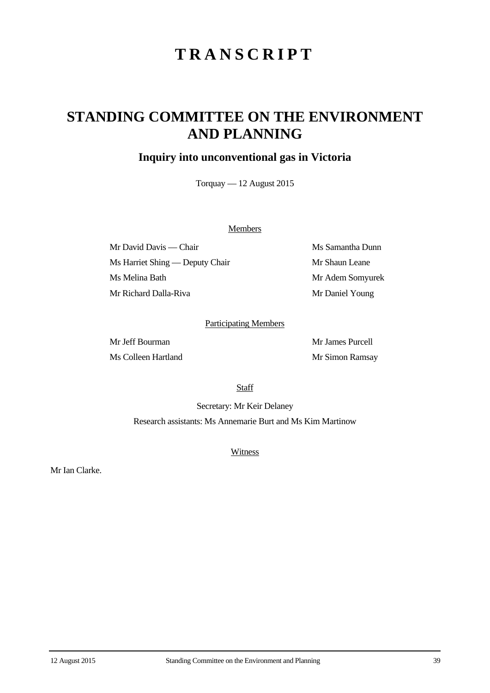# **TRANSCRIPT**

## **STANDING COMMITTEE ON THE ENVIRONMENT AND PLANNING**

## **Inquiry into unconventional gas in Victoria**

Torquay — 12 August 2015

### **Members**

Mr David Davis — Chair Ms Samantha Dunn Ms Harriet Shing — Deputy Chair Mr Shaun Leane Ms Melina Bath Mr Adem Somyurek Mr Richard Dalla-Riva Mr Daniel Young

#### Participating Members

Mr Jeff Bourman Mr James Purcell Ms Colleen Hartland Mr Simon Ramsay

**Staff** 

Secretary: Mr Keir Delaney Research assistants: Ms Annemarie Burt and Ms Kim Martinow

**Witness** 

Mr Ian Clarke.